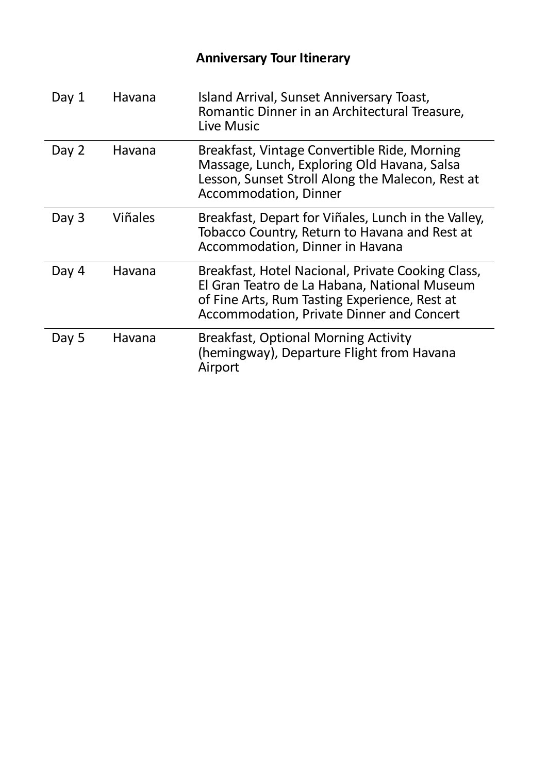| Day 1 | Havana         | Island Arrival, Sunset Anniversary Toast,<br>Romantic Dinner in an Architectural Treasure,<br>Live Music                                                                                        |
|-------|----------------|-------------------------------------------------------------------------------------------------------------------------------------------------------------------------------------------------|
| Day 2 | Havana         | Breakfast, Vintage Convertible Ride, Morning<br>Massage, Lunch, Exploring Old Havana, Salsa<br>Lesson, Sunset Stroll Along the Malecon, Rest at<br><b>Accommodation, Dinner</b>                 |
| Day 3 | <b>Viñales</b> | Breakfast, Depart for Viñales, Lunch in the Valley,<br>Tobacco Country, Return to Havana and Rest at<br>Accommodation, Dinner in Havana                                                         |
| Day 4 | Havana         | Breakfast, Hotel Nacional, Private Cooking Class,<br>El Gran Teatro de La Habana, National Museum<br>of Fine Arts, Rum Tasting Experience, Rest at<br>Accommodation, Private Dinner and Concert |
| Day 5 | Havana         | <b>Breakfast, Optional Morning Activity</b><br>(hemingway), Departure Flight from Havana<br>Airport                                                                                             |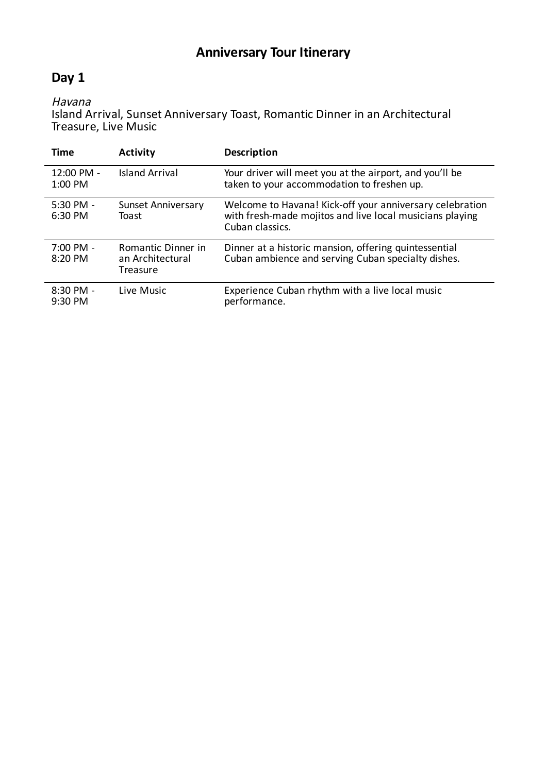### **Day 1**

Havana

Island Arrival, Sunset Anniversary Toast, Romantic Dinner in an Architectural Treasure, Live Music

| Time                               | <b>Activity</b>                                    | <b>Description</b>                                                                                                                      |
|------------------------------------|----------------------------------------------------|-----------------------------------------------------------------------------------------------------------------------------------------|
| 12:00 PM -<br>1:00 PM              | <b>Island Arrival</b>                              | Your driver will meet you at the airport, and you'll be<br>taken to your accommodation to freshen up.                                   |
| $5:30$ PM -<br>6:30 PM             | <b>Sunset Anniversary</b><br>Toast                 | Welcome to Havana! Kick-off your anniversary celebration<br>with fresh-made mojitos and live local musicians playing<br>Cuban classics. |
| $7:00 \, \text{PM}$ -<br>$8:20$ PM | Romantic Dinner in<br>an Architectural<br>Treasure | Dinner at a historic mansion, offering quintessential<br>Cuban ambience and serving Cuban specialty dishes.                             |
| $8:30$ PM -<br>$9:30$ PM           | Live Music                                         | Experience Cuban rhythm with a live local music<br>performance.                                                                         |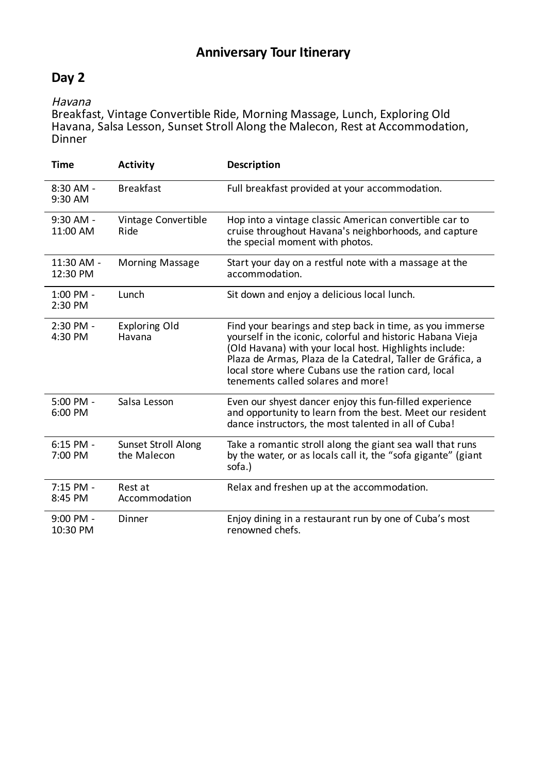### **Day 2**

#### Havana

Breakfast, Vintage Convertible Ride, Morning Massage, Lunch, Exploring Old Havana, Salsa Lesson, Sunset Stroll Along the Malecon, Rest at Accommodation, Dinner

| <b>Time</b>             | <b>Activity</b>                           | <b>Description</b>                                                                                                                                                                                                                                                                                                                          |
|-------------------------|-------------------------------------------|---------------------------------------------------------------------------------------------------------------------------------------------------------------------------------------------------------------------------------------------------------------------------------------------------------------------------------------------|
| $8:30$ AM -<br>9:30 AM  | <b>Breakfast</b>                          | Full breakfast provided at your accommodation.                                                                                                                                                                                                                                                                                              |
| 9:30 AM -<br>11:00 AM   | Vintage Convertible<br>Ride               | Hop into a vintage classic American convertible car to<br>cruise throughout Havana's neighborhoods, and capture<br>the special moment with photos.                                                                                                                                                                                          |
| 11:30 AM -<br>12:30 PM  | <b>Morning Massage</b>                    | Start your day on a restful note with a massage at the<br>accommodation.                                                                                                                                                                                                                                                                    |
| 1:00 PM -<br>2:30 PM    | Lunch                                     | Sit down and enjoy a delicious local lunch.                                                                                                                                                                                                                                                                                                 |
| 2:30 PM -<br>4:30 PM    | <b>Exploring Old</b><br>Havana            | Find your bearings and step back in time, as you immerse<br>yourself in the iconic, colorful and historic Habana Vieja<br>(Old Havana) with your local host. Highlights include:<br>Plaza de Armas, Plaza de la Catedral, Taller de Gráfica, a<br>local store where Cubans use the ration card, local<br>tenements called solares and more! |
| 5:00 PM -<br>6:00 PM    | Salsa Lesson                              | Even our shyest dancer enjoy this fun-filled experience<br>and opportunity to learn from the best. Meet our resident<br>dance instructors, the most talented in all of Cuba!                                                                                                                                                                |
| $6:15$ PM -<br>7:00 PM  | <b>Sunset Stroll Along</b><br>the Malecon | Take a romantic stroll along the giant sea wall that runs<br>by the water, or as locals call it, the "sofa gigante" (giant<br>sofa.)                                                                                                                                                                                                        |
| 7:15 PM -<br>8:45 PM    | Rest at<br>Accommodation                  | Relax and freshen up at the accommodation.                                                                                                                                                                                                                                                                                                  |
| $9:00$ PM -<br>10:30 PM | Dinner                                    | Enjoy dining in a restaurant run by one of Cuba's most<br>renowned chefs.                                                                                                                                                                                                                                                                   |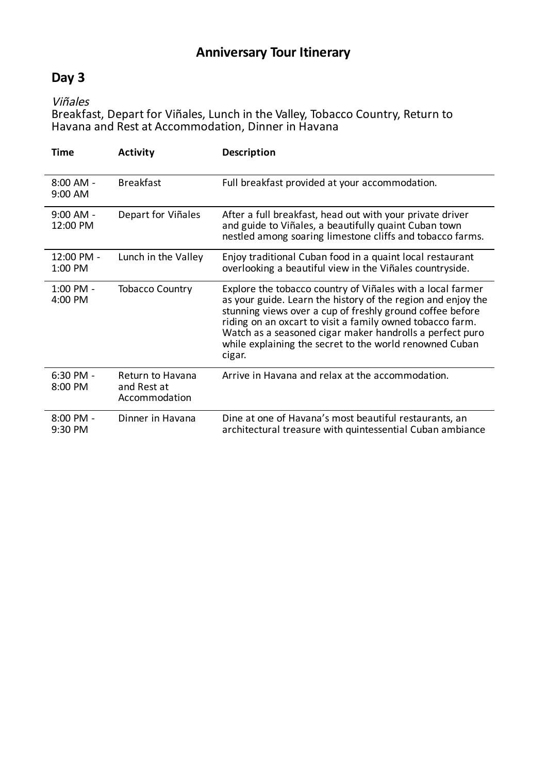### **Day 3**

Viñales

Breakfast, Depart for Viñales, Lunch in the Valley, Tobacco Country, Return to Havana and Rest at Accommodation, Dinner in Havana

| Time                    | <b>Activity</b>                                  | Description                                                                                                                                                                                                                                                                                                                                                                           |
|-------------------------|--------------------------------------------------|---------------------------------------------------------------------------------------------------------------------------------------------------------------------------------------------------------------------------------------------------------------------------------------------------------------------------------------------------------------------------------------|
| $8:00$ AM -<br>9:00 AM  | <b>Breakfast</b>                                 | Full breakfast provided at your accommodation.                                                                                                                                                                                                                                                                                                                                        |
| $9:00$ AM -<br>12:00 PM | Depart for Viñales                               | After a full breakfast, head out with your private driver<br>and guide to Viñales, a beautifully quaint Cuban town<br>nestled among soaring limestone cliffs and tobacco farms.                                                                                                                                                                                                       |
| 12:00 PM -<br>1:00 PM   | Lunch in the Valley                              | Enjoy traditional Cuban food in a quaint local restaurant<br>overlooking a beautiful view in the Viñales countryside.                                                                                                                                                                                                                                                                 |
| 1:00 PM -<br>4:00 PM    | <b>Tobacco Country</b>                           | Explore the tobacco country of Viñales with a local farmer<br>as your guide. Learn the history of the region and enjoy the<br>stunning views over a cup of freshly ground coffee before<br>riding on an oxcart to visit a family owned tobacco farm.<br>Watch as a seasoned cigar maker handrolls a perfect puro<br>while explaining the secret to the world renowned Cuban<br>cigar. |
| 6:30 PM -<br>8:00 PM    | Return to Havana<br>and Rest at<br>Accommodation | Arrive in Havana and relax at the accommodation.                                                                                                                                                                                                                                                                                                                                      |
| $8:00$ PM -<br>9:30 PM  | Dinner in Havana                                 | Dine at one of Havana's most beautiful restaurants, an<br>architectural treasure with quintessential Cuban ambiance                                                                                                                                                                                                                                                                   |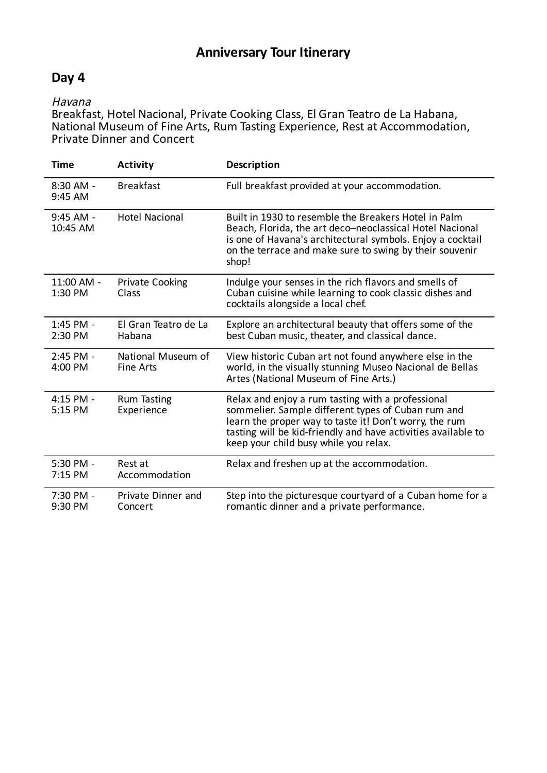### **Day 4**

#### Havana

Breakfast, Hotel Nacional, Private Cooking Class, El Gran Teatro de La Habana, National Museum of Fine Arts, Rum Tasting Experience, Rest at Accommodation, Private Dinner and Concert

| <b>Time</b>           | <b>Activity</b>                        | Description                                                                                                                                                                                                                                                                 |
|-----------------------|----------------------------------------|-----------------------------------------------------------------------------------------------------------------------------------------------------------------------------------------------------------------------------------------------------------------------------|
| 8:30 AM -<br>9:45 AM  | <b>Breakfast</b>                       | Full breakfast provided at your accommodation.                                                                                                                                                                                                                              |
| 9:45 AM -<br>10:45 AM | <b>Hotel Nacional</b>                  | Built in 1930 to resemble the Breakers Hotel in Palm<br>Beach, Florida, the art deco-neoclassical Hotel Nacional<br>is one of Havana's architectural symbols. Enjoy a cocktail<br>on the terrace and make sure to swing by their souvenir<br>shop!                          |
| 11:00 AM -<br>1:30 PM | <b>Private Cooking</b><br>Class        | Indulge your senses in the rich flavors and smells of<br>Cuban cuisine while learning to cook classic dishes and<br>cocktails alongside a local chef.                                                                                                                       |
| 1:45 PM -<br>2:30 PM  | El Gran Teatro de La<br>Habana         | Explore an architectural beauty that offers some of the<br>best Cuban music, theater, and classical dance.                                                                                                                                                                  |
| 2:45 PM -<br>4:00 PM  | National Museum of<br><b>Fine Arts</b> | View historic Cuban art not found anywhere else in the<br>world, in the visually stunning Museo Nacional de Bellas<br>Artes (National Museum of Fine Arts.)                                                                                                                 |
| 4:15 PM -<br>5:15 PM  | <b>Rum Tasting</b><br>Experience       | Relax and enjoy a rum tasting with a professional<br>sommelier. Sample different types of Cuban rum and<br>learn the proper way to taste it! Don't worry, the rum<br>tasting will be kid-friendly and have activities available to<br>keep your child busy while you relax. |
| 5:30 PM -<br>7:15 PM  | Rest at<br>Accommodation               | Relax and freshen up at the accommodation.                                                                                                                                                                                                                                  |
| 7:30 PM -<br>9:30 PM  | Private Dinner and<br>Concert          | Step into the picturesque courtyard of a Cuban home for a<br>romantic dinner and a private performance.                                                                                                                                                                     |